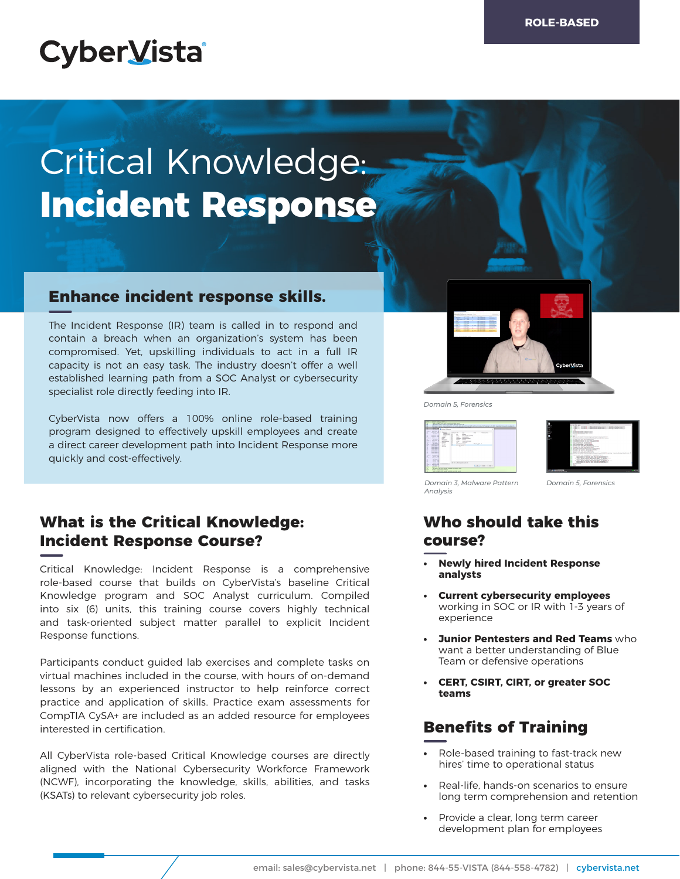# **CyberVista**

# Critical Knowledge: **Incident Response**

#### **Enhance incident response skills.**

The Incident Response (IR) team is called in to respond and contain a breach when an organization's system has been compromised. Yet, upskilling individuals to act in a full IR capacity is not an easy task. The industry doesn't offer a well established learning path from a SOC Analyst or cybersecurity specialist role directly feeding into IR.

CyberVista now offers a 100% online role-based training program designed to effectively upskill employees and create a direct career development path into Incident Response more quickly and cost-effectively.

### **What is the Critical Knowledge: Incident Response Course?**

Critical Knowledge: Incident Response is a comprehensive role-based course that builds on CyberVista's baseline Critical Knowledge program and SOC Analyst curriculum. Compiled into six (6) units, this training course covers highly technical and task-oriented subject matter parallel to explicit Incident Response functions.

Participants conduct guided lab exercises and complete tasks on virtual machines included in the course, with hours of on-demand lessons by an experienced instructor to help reinforce correct practice and application of skills. Practice exam assessments for CompTIA CySA+ are included as an added resource for employees interested in certification.

All CyberVista role-based Critical Knowledge courses are directly aligned with the National Cybersecurity Workforce Framework (NCWF), incorporating the knowledge, skills, abilities, and tasks (KSATs) to relevant cybersecurity job roles.



*Domain 5, Forensics*





*Domain 3, Malware Pattern Domain 5, Forensics Analysis*

# **Who should take this course?**

- **• Newly hired Incident Response analysts**
- **• Current cybersecurity employees**  working in SOC or IR with 1-3 years of experience
- **• Junior Pentesters and Red Teams** who want a better understanding of Blue Team or defensive operations
- **• CERT, CSIRT, CIRT, or greater SOC teams**

# **Benefits of Training**

- **•** Role-based training to fast-track new hires' time to operational status
- **•** Real-life, hands-on scenarios to ensure long term comprehension and retention
- **•** Provide a clear, long term career development plan for employees